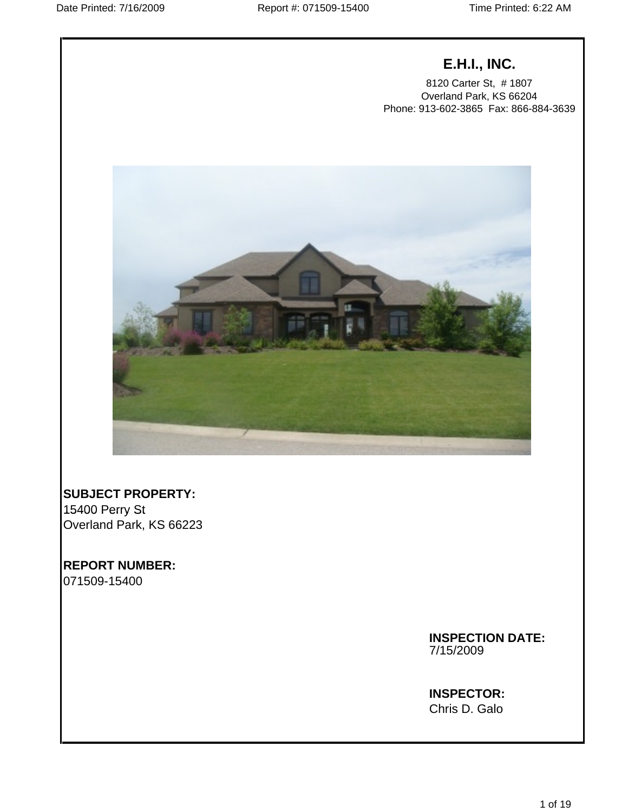# **E.H.I., INC.**

8120 Carter St, # 1807 Overland Park, KS 66204 Phone: 913-602-3865 Fax: 866-884-3639



15400 Perry St **SUBJECT PROPERTY:** Overland Park, KS 66223

**REPORT NUMBER:** 071509-15400

> **INSPECTION DATE:** 7/15/2009

# **INSPECTOR:** Chris D. Galo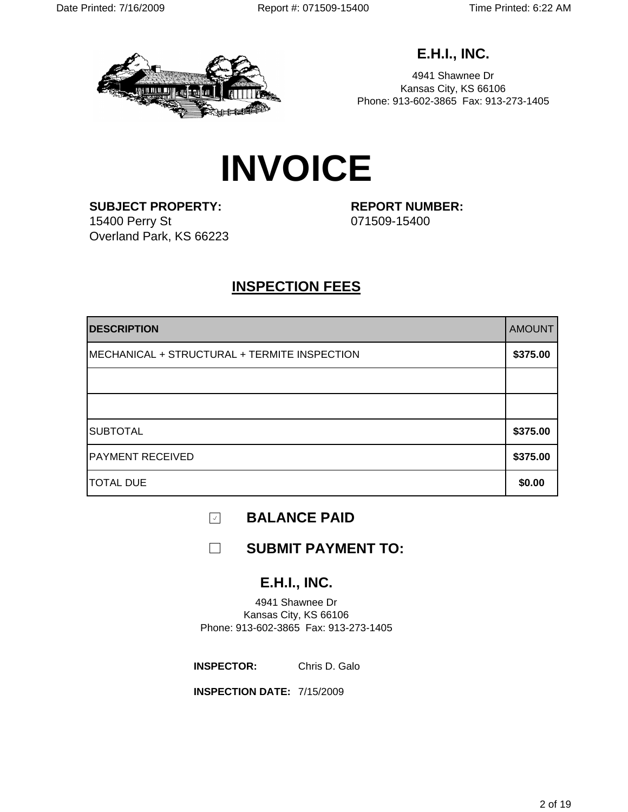

**E.H.I., INC.**

4941 Shawnee Dr Kansas City, KS 66106 Phone: 913-602-3865 Fax: 913-273-1405

# **INVOICE**

**SUBJECT PROPERTY: REPORT NUMBER:** 15400 Perry St 071509-15400 Overland Park, KS 66223

# **INSPECTION FEES**

| <b>DESCRIPTION</b>                           | <b>AMOUNT</b> |
|----------------------------------------------|---------------|
| MECHANICAL + STRUCTURAL + TERMITE INSPECTION | \$375.00      |
|                                              |               |
|                                              |               |
| <b>SUBTOTAL</b>                              | \$375.00      |
| <b>PAYMENT RECEIVED</b>                      | \$375.00      |
| <b>TOTAL DUE</b>                             | \$0.00        |

 $\mathcal{A}$ **BALANCE PAID**

 $\Box$ **SUBMIT PAYMENT TO:**

# **E.H.I., INC.**

4941 Shawnee Dr Kansas City, KS 66106 Phone: 913-602-3865 Fax: 913-273-1405

**INSPECTOR:** Chris D. Galo **Chris Chris Community Christian Christian Christian Christian Christian Christian Christian Christian Christian Christian Christian Christian Christian Christian Christian Christian Christian Ch** Chris D. Galo

**INSPECTION DATE:** 7/15/2009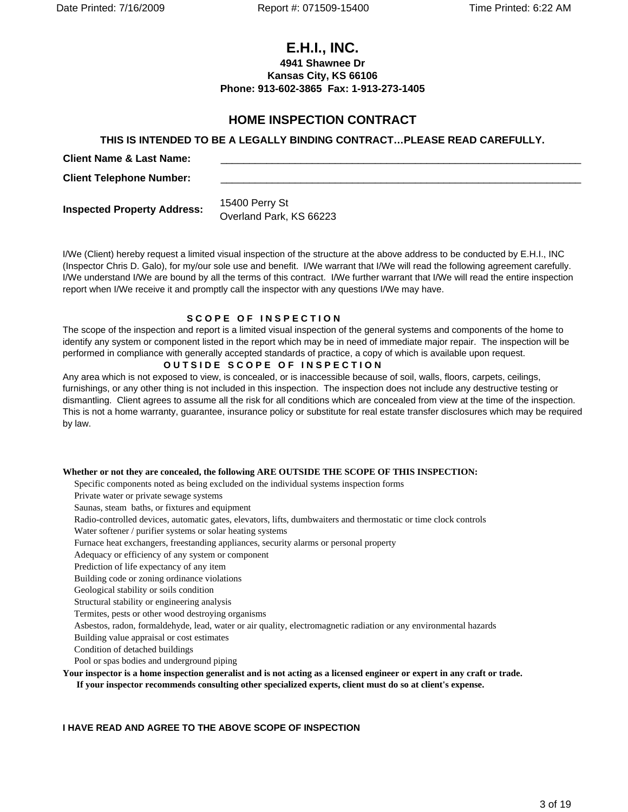Date Printed: 7/16/2009 Report #: 071509-15400 Time Printed: 6:22 AM

**CLIMPT:**<br>
CLIMPT:<br>
Client Name: 913-602-3865 Fax: 1-913-273-1405<br>
Phone: 913-602-3865 Fax: 1-913-273-1405<br>
HOME INSPECTION CONTRACT<br>
THIS IS INTENDED TO BE A LEGALLY BINDING CONTRACT...PLEASE READ CAREFULLY.<br>
Client Name **4941 Shawnee Dr Kansas City, KS 66106 Phone: 913-602-3865 Fax: 1-913-273-1405**

# **THIS IS INTENDED TO BE A LEGALLY BINDING CONTRACT…PLEASE READ CAREFULLY. 15400 Perry St Inspected Property Address:**<br>
Client Telephone Number:<br>
Inspected Property Address:  $\frac{15400 \text{ Perry St}}{0.000 \text{Ref}}$

**Client Telephone Number:**

Overland Park, KS 66223

I/We (Client) hereby request a limited visual inspection of the structure at the above address to be conducted by E.H.I., INC (Inspector Chris D. Galo), for my/our sole use and benefit. I/We warrant that I/We will read the following agreement carefully. I/We understand I/We are bound by all the terms of this contract. I/We further warrant that I/We will read the entire inspection report when I/We receive it and promptly call the inspector with any questions I/We may have.

# **SCOPE OF INSPECTION**

The scope of the inspection and report is a limited visual inspection of the general systems and components of the home to identify any system or component listed in the report which may be in need of immediate major repair. The inspection will be performed in compliance with generally accepted standards of practice, a copy of which is available upon request.

#### **OUTSIDE SCOPE OF INSPECTION**

Any area which is not exposed to view, is concealed, or is inaccessible because of soil, walls, floors, carpets, ceilings, furnishings, or any other thing is not included in this inspection. The inspection does not include any destructive testing or dismantling. Client agrees to assume all the risk for all conditions which are concealed from view at the time of the inspection. This is not a home warranty, guarantee, insurance policy or substitute for real estate transfer disclosures which may be required by law.

# **Whether or not they are concealed, the following ARE OUTSIDE THE SCOPE OF THIS INSPECTION:**

Specific components noted as being excluded on the individual systems inspection forms

Private water or private sewage systems

Saunas, steam baths, or fixtures and equipment

Radio-controlled devices, automatic gates, elevators, lifts, dumbwaiters and thermostatic or time clock controls

Water softener / purifier systems or solar heating systems

Furnace heat exchangers, freestanding appliances, security alarms or personal property

Adequacy or efficiency of any system or component

Prediction of life expectancy of any item

Building code or zoning ordinance violations

Geological stability or soils condition

Structural stability or engineering analysis

Termites, pests or other wood destroying organisms

Asbestos, radon, formaldehyde, lead, water or air quality, electromagnetic radiation or any environmental hazards

Building value appraisal or cost estimates

Condition of detached buildings

Pool or spas bodies and underground piping

**Your inspector is a home inspection generalist and is not acting as a licensed engineer or expert in any craft or trade.** 

 **If your inspector recommends consulting other specialized experts, client must do so at client's expense.** 

### **I HAVE READ AND AGREE TO THE ABOVE SCOPE OF INSPECTION**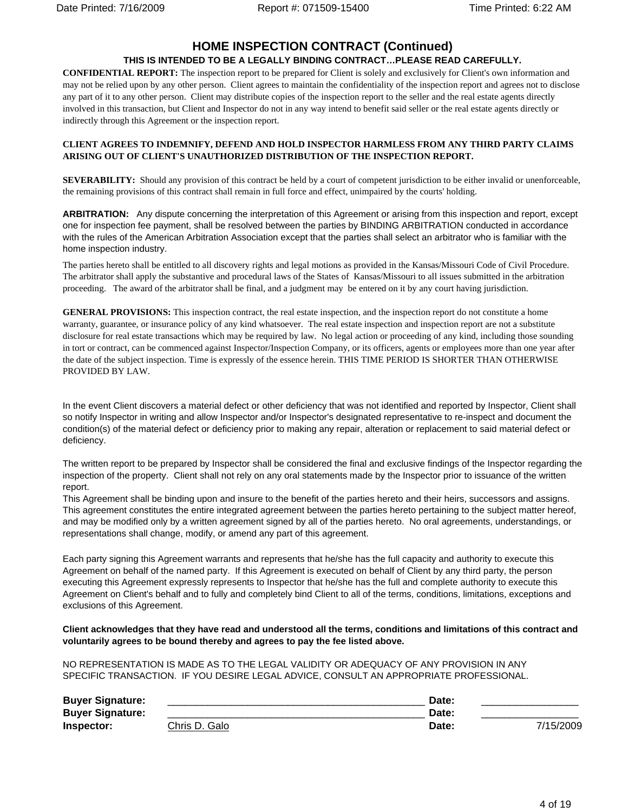# **HOME INSPECTION CONTRACT (Continued)**

#### **THIS IS INTENDED TO BE A LEGALLY BINDING CONTRACT…PLEASE READ CAREFULLY.**

**CONFIDENTIAL REPORT:** The inspection report to be prepared for Client is solely and exclusively for Client's own information and may not be relied upon by any other person. Client agrees to maintain the confidentiality of the inspection report and agrees not to disclose any part of it to any other person. Client may distribute copies of the inspection report to the seller and the real estate agents directly involved in this transaction, but Client and Inspector do not in any way intend to benefit said seller or the real estate agents directly or indirectly through this Agreement or the inspection report.

#### **CLIENT AGREES TO INDEMNIFY, DEFEND AND HOLD INSPECTOR HARMLESS FROM ANY THIRD PARTY CLAIMS ARISING OUT OF CLIENT'S UNAUTHORIZED DISTRIBUTION OF THE INSPECTION REPORT.**

**SEVERABILITY:** Should any provision of this contract be held by a court of competent jurisdiction to be either invalid or unenforceable, the remaining provisions of this contract shall remain in full force and effect, unimpaired by the courts' holding.

one for inspection fee payment, shall be resolved between the parties by BINDING ARBITRATION conducted in accordance with the rules of the American Arbitration Association except that the parties shall select an arbitrator who is familiar with the home inspection industry.

The parties hereto shall be entitled to all discovery rights and legal motions as provided in the Kansas/Missouri Code of Civil Procedure. The arbitrator shall apply the substantive and procedural laws of the States of Kansas/Missouri to all issues submitted in the arbitration proceeding. The award of the arbitrator shall be final, and a judgment may be entered on it by any court having jurisdiction.

**BREIRATION** Any dispute concerning the interpretation this Agreement or arising the mission that inspectively a<br>Buyer Signature: The property and the model to Model through the first of the first of the first of the first **GENERAL PROVISIONS:** This inspection contract, the real estate inspection, and the inspection report do not constitute a home warranty, guarantee, or insurance policy of any kind whatsoever. The real estate inspection and inspection report are not a substitute disclosure for real estate transactions which may be required by law. No legal action or proceeding of any kind, including those sounding in tort or contract, can be commenced against Inspector/Inspection Company, or its officers, agents or employees more than one year after the date of the subject inspection. Time is expressly of the essence herein. THIS TIME PERIOD IS SHORTER THAN OTHERWISE PROVIDED BY LAW.

In the event Client discovers a material defect or other deficiency that was not identified and reported by Inspector, Client shall so notify Inspector in writing and allow Inspector and/or Inspector's designated representative to re-inspect and document the condition(s) of the material defect or deficiency prior to making any repair, alteration or replacement to said material defect or deficiency. The contract of the contract of the contract of the contract of the contract of the contract of the contract of the contract of the contract of the contract of the contract of the contract of the contract of th

The written report to be prepared by Inspector shall be considered the final and exclusive findings of the Inspector regarding the inspection of the property. Client shall not rely on any oral statements made by the Inspector prior to issuance of the written report. The contract of the contract of the contract of the contract of the contract of the contract of the contract of the contract of the contract of the contract of the contract of the contract of the contract of the co

This Agreement shall be binding upon and insure to the benefit of the parties hereto and their heirs, successors and assigns. This agreement constitutes the entire integrated agreement between the parties hereto pertaining to the subject matter hereof, and may be modified only by a written agreement signed by all of the parties hereto. No oral agreements, understandings, or representations shall change, modify, or amend any part of this agreement.

Each party signing this Agreement warrants and represents that he/she has the full capacity and authority to execute this Agreement on behalf of the named party. If this Agreement is executed on behalf of Client by any third party, the person executing this Agreement expressly represents to Inspector that he/she has the full and complete authority to execute this Agreement on Client's behalf and to fully and completely bind Client to all of the terms, conditions, limitations, exceptions and exclusions of this Agreement.

**Client acknowledges that they have read and understood all the terms, conditions and limitations of this contract and voluntarily agrees to be bound thereby and agrees to pay the fee listed above.**

NO REPRESENTATION IS MADE AS TO THE LEGAL VALIDITY OR ADEQUACY OF ANY PROVISION IN ANY SPECIFIC TRANSACTION. IF YOU DESIRE LEGAL ADVICE, CONSULT AN APPROPRIATE PROFESSIONAL.

| <b>Buyer Signature:</b> |                       | Dalc        |           |
|-------------------------|-----------------------|-------------|-----------|
| <b>Buyer Signature:</b> |                       | <b>Dalt</b> |           |
| Inspector:              | C <u>hris D. Galo</u> | Date:       | 7/15/2009 |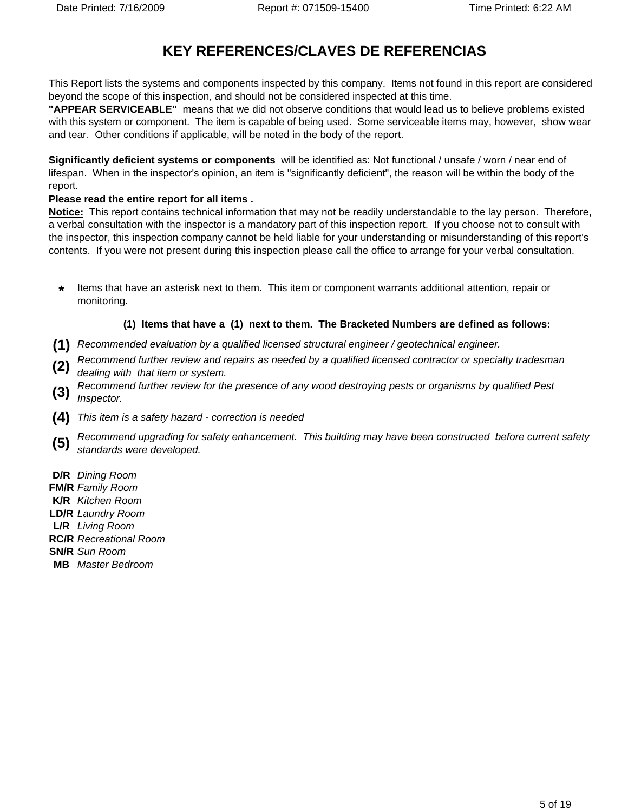# **KEY REFERENCES/CLAVES DE REFERENCIAS**

This Report lists the systems and components inspected by this company. Items not found in this report are considered beyond the scope of this inspection, and should not be considered inspected at this time.

**"APPEAR SERVICEABLE"** means that we did not observe conditions that would lead us to believe problems existed with this system or component. The item is capable of being used. Some serviceable items may, however, show wear and tear. Other conditions if applicable, will be noted in the body of the report.

**Significantly deficient systems or components** will be identified as: Not functional / unsafe / worn / near end of lifespan. When in the inspector's opinion, an item is "significantly deficient", the reason will be within the body of the report. The contract of the contract of the contract of the contract of the contract of the contract of the contract of the contract of the contract of the contract of the contract of the contract of the contract of the co

### **Please read the entire report for all items .**

**Notice:** This report contains technical information that may not be readily understandable to the lay person. Therefore, a verbal consultation with the inspector is a mandatory part of this inspection report. If you choose not to consult with the inspector, this inspection company cannot be held liable for your understanding or misunderstanding of this report's contents. If you were not present during this inspection please call the office to arrange for your verbal consultation.

**\*** Items that have an asterisk next to them. This item or component warrants additional attention, repair or monitoring.

## **(1) Items that have a (1) next to them. The Bracketed Numbers are defined as follows:**

**(1)** Recommended evaluation by a qualified licensed structural engineer / geotechnical engineer.

**(2)** Recommend further review and repairs as needed by a qualified licensed contractor or specialty tradesman  $\left( 2 \right)$  dealing with that item or system.

- **(3)** Recommend further review for the presence of any wood destroying pests or organisms by qualified Pest Inspector. **Inspector.** The contract of the contract of the contract of the contract of the contract of the contract of the contract of the contract of the contract of the contract of the contract of the contract of the contract of t
- **(4)** This item is a safety hazard correction is needed
- **(5)** Recommend upgrading for safety enhancement. This building may have been constructed before current safety standards were developed.

**D/R** Dining Room

- **FM/R** Family Room
- **K/R** Kitchen Room
- **LD/R** Laundry Room
- **L/R** Living Room
- **RC/R** Recreational Room
- **SN/R** Sun Room
- **MB** Master Bedroom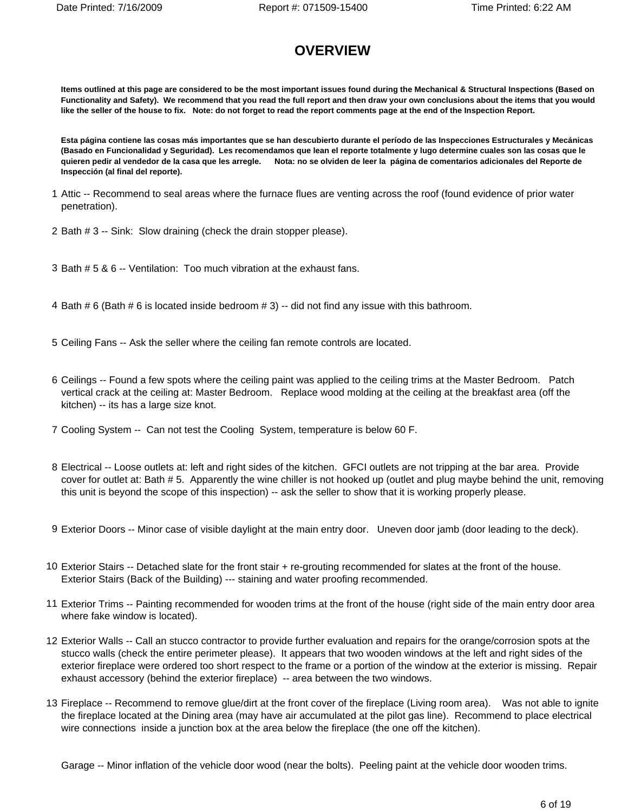# **OVERVIEW**

**Items outlined at this page are considered to be the most important issues found during the Mechanical & Structural Inspections (Based on Functionality and Safety). We recommend that you read the full report and then draw your own conclusions about the items that you would like the seller of the house to fix. Note: do not forget to read the report comments page at the end of the Inspection Report.**

**Esta página contiene las cosas más importantes que se han descubierto durante el período de las Inspecciones Estructurales y Mecánicas (Basado en Funcionalidad y Seguridad). Les recomendamos que lean el reporte totalmente y lugo determine cuales son las cosas que le quieren pedir al vendedor de la casa que les arregle. Nota: no se olviden de leer la página de comentarios adicionales del Reporte de Inspección (al final del reporte).**

- 1 Attic -- Recommend to seal areas where the furnace flues are venting across the roof (found evidence of prior water penetration). The contraction of the contraction of the contraction of the contraction of the contraction of the contraction of the contraction of the contraction of the contraction of the contraction of the contraction of
- 2 Bath # 3 -- Sink: Slow draining (check the drain stopper please).
- 3 Bath # 5 & 6 -- Ventilation: Too much vibration at the exhaust fans.
- 4 Bath # 6 (Bath # 6 is located inside bedroom # 3) -- did not find any issue with this bathroom.
- 5 Ceiling Fans -- Ask the seller where the ceiling fan remote controls are located.
- 6 Ceilings -- Found a few spots where the ceiling paint was applied to the ceiling trims at the Master Bedroom. Patch vertical crack at the ceiling at: Master Bedroom. Replace wood molding at the ceiling at the breakfast area (off the kitchen) -- its has a large size knot.
- 7 Cooling System -- Can not test the Cooling System, temperature is below 60 F.
- 8 Electrical -- Loose outlets at: left and right sides of the kitchen. GFCI outlets are not tripping at the bar area. Provide cover for outlet at: Bath # 5. Apparently the wine chiller is not hooked up (outlet and plug maybe behind the unit, removing this unit is beyond the scope of this inspection) -- ask the seller to show that it is working properly please.
- 9 Exterior Doors -- Minor case of visible daylight at the main entry door. Uneven door jamb (door leading to the deck).
- 10 Exterior Stairs -- Detached slate for the front stair + re-grouting recommended for slates at the front of the house. Exterior Stairs (Back of the Building) --- staining and water proofing recommended.
- 11 Exterior Trims -- Painting recommended for wooden trims at the front of the house (right side of the main entry door area where fake window is located).
- 12 Exterior Walls -- Call an stucco contractor to provide further evaluation and repairs for the orange/corrosion spots at the stucco walls (check the entire perimeter please). It appears that two wooden windows at the left and right sides of the exterior fireplace were ordered too short respect to the frame or a portion of the window at the exterior is missing. Repair exhaust accessory (behind the exterior fireplace) -- area between the two windows.
- 13 Fireplace -- Recommend to remove glue/dirt at the front cover of the fireplace (Living room area). Was not able to ignite the fireplace located at the Dining area (may have air accumulated at the pilot gas line). Recommend to place electrical wire connections inside a junction box at the area below the fireplace (the one off the kitchen).

Garage -- Minor inflation of the vehicle door wood (near the bolts). Peeling paint at the vehicle door wooden trims.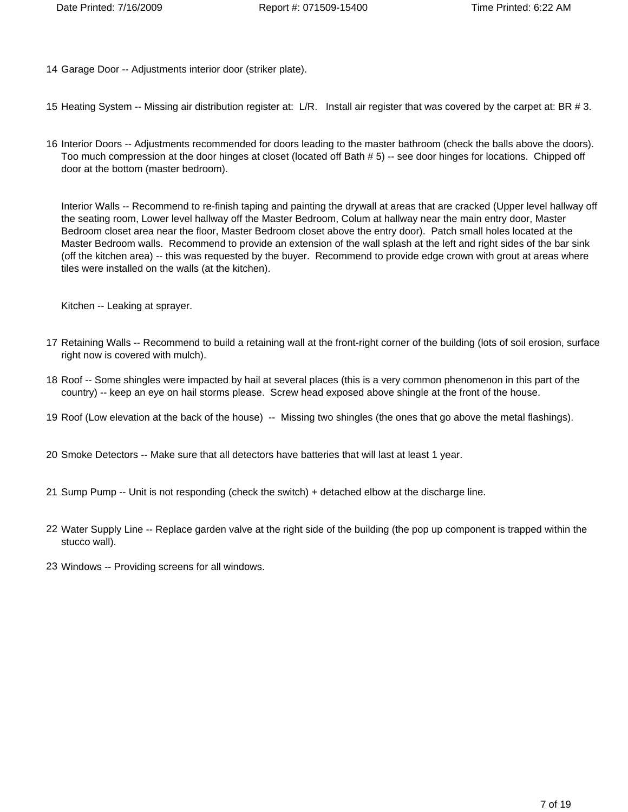- 14 Garage Door -- Adjustments interior door (striker plate).
- 15 Heating System -- Missing air distribution register at: L/R. Install air register that was covered by the carpet at: BR # 3.
- 16 Interior Doors -- Adjustments recommended for doors leading to the master bathroom (check the balls above the doors). Too much compression at the door hinges at closet (located off Bath # 5) -- see door hinges for locations. Chipped off door at the bottom (master bedroom).

Interior Walls -- Recommend to re-finish taping and painting the drywall at areas that are cracked (Upper level hallway off the seating room, Lower level hallway off the Master Bedroom, Colum at hallway near the main entry door, Master Bedroom closet area near the floor, Master Bedroom closet above the entry door). Patch small holes located at the Master Bedroom walls. Recommend to provide an extension of the wall splash at the left and right sides of the bar sink (off the kitchen area) -- this was requested by the buyer. Recommend to provide edge crown with grout at areas where tiles were installed on the walls (at the kitchen).

Kitchen -- Leaking at sprayer.

- 17 Retaining Walls -- Recommend to build a retaining wall at the front-right corner of the building (lots of soil erosion, surface right now is covered with mulch).
- 18 Roof -- Some shingles were impacted by hail at several places (this is a very common phenomenon in this part of the country) -- keep an eye on hail storms please. Screw head exposed above shingle at the front of the house.
- 19 Roof (Low elevation at the back of the house) -- Missing two shingles (the ones that go above the metal flashings).
- 20 Smoke Detectors -- Make sure that all detectors have batteries that will last at least 1 year.
- 21 Sump Pump -- Unit is not responding (check the switch) + detached elbow at the discharge line.
- 22 Water Supply Line -- Replace garden valve at the right side of the building (the pop up component is trapped within the stucco wall). The contract of the contract of the contract of the contract of the contract of the contract of the contract of the contract of the contract of the contract of the contract of the contract of the contract of
- 23 Windows -- Providing screens for all windows.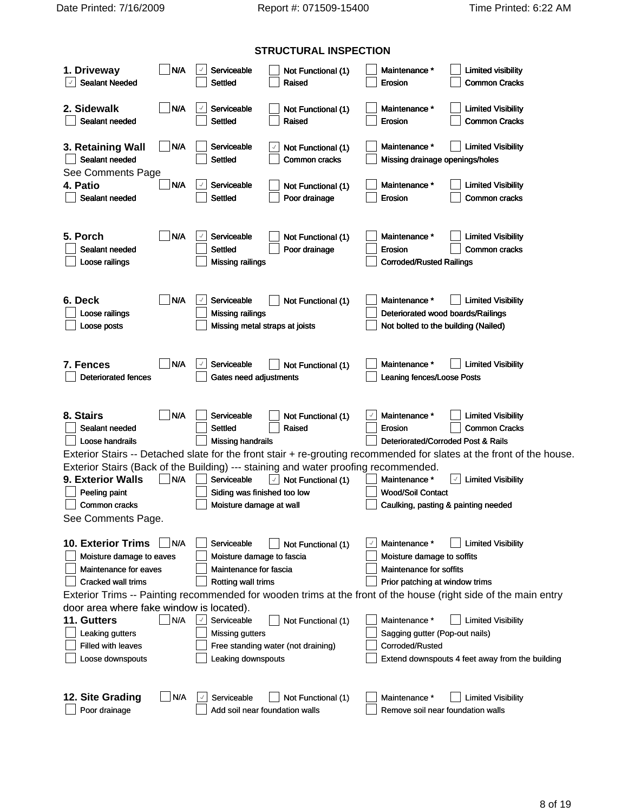Date Printed: 7/16/2009 Report #: 071509-15400 Time Printed: 6:22 AM

|                                                                                     |            |                                | <b>STRUCTURAL INSPECTION</b>                                               |                            |                                                                                                                       |
|-------------------------------------------------------------------------------------|------------|--------------------------------|----------------------------------------------------------------------------|----------------------------|-----------------------------------------------------------------------------------------------------------------------|
| 1. Driveway                                                                         | $\Box$ N/A | Serviceable                    | Not Functional (1)                                                         | Maintenance *              | $\Box$ Limited visibility                                                                                             |
| Sealant Needed                                                                      |            | $\Box$ Settled                 | Raised                                                                     | $\Box$ Erosion             | Common Cracks                                                                                                         |
|                                                                                     |            |                                |                                                                            |                            |                                                                                                                       |
| 2. Sidewalk                                                                         | $\neg$ N/A | $\sqrt{2}$ Serviceable         | Not Functional (1)                                                         | Maintenance *              | Limited Visibility                                                                                                    |
| Sealant needed                                                                      |            | $\Box$ Settled                 | Raised                                                                     | $\Box$ Erosion             | Common Cracks                                                                                                         |
|                                                                                     |            |                                |                                                                            |                            |                                                                                                                       |
| 3. Retaining Wall                                                                   | $\Box$ N/A | $\Box$ Serviceable             | Not Functional (1)                                                         | Maintenance *              | $\Box$ Limited Visibility                                                                                             |
| Sealant needed                                                                      |            | $\Box$ Settled                 | $\Box$ Common cracks                                                       |                            | Missing drainage openings/holes                                                                                       |
| See Comments Page<br>4. Patio                                                       |            | $\n  N/A\n  Seviceable$        |                                                                            | Maintenance *              | Limited Visibility                                                                                                    |
| Sealant needed                                                                      |            | $\Box$ Settled                 | Not Functional (1)<br>$\Box$ Poor drainage                                 | $\Box$ Erosion             | Common cracks                                                                                                         |
|                                                                                     |            |                                |                                                                            |                            |                                                                                                                       |
|                                                                                     |            |                                |                                                                            |                            |                                                                                                                       |
| 5. Porch                                                                            | $\n  N/A$  | Serviceable                    | Not Functional (1)                                                         | Maintenance *              | Limited Visibility                                                                                                    |
| Sealant needed                                                                      |            | Settled                        | $\Box$ Poor drainage                                                       | Erosion                    | Common cracks                                                                                                         |
| Loose railings                                                                      |            | Missing railings               |                                                                            | Corroded/Rusted Railings   |                                                                                                                       |
|                                                                                     |            |                                |                                                                            |                            |                                                                                                                       |
|                                                                                     |            |                                |                                                                            |                            |                                                                                                                       |
| 6. Deck                                                                             |            | N/A <b>Serviceable</b>         | Not Functional (1)                                                         |                            | $\Box$ Maintenance $\uparrow$ $\Box$ Limited Visibility                                                               |
| $\Box$ Loose railings                                                               |            | Missing railings               |                                                                            |                            | Deteriorated wood boards/Railings                                                                                     |
| Loose posts                                                                         |            | Missing metal straps at joists |                                                                            |                            | Not bolted to the building (Nailed)                                                                                   |
|                                                                                     |            |                                |                                                                            |                            |                                                                                                                       |
| 7. Fences                                                                           |            | N/A Serviceable                | Not Functional (1)                                                         |                            | Maintenance *   Limited Visibility                                                                                    |
| Deteriorated fences                                                                 |            | Gates need adjustments         |                                                                            | Leaning fences/Loose Posts |                                                                                                                       |
|                                                                                     |            |                                |                                                                            |                            |                                                                                                                       |
|                                                                                     |            |                                |                                                                            |                            |                                                                                                                       |
| 8. Stairs                                                                           | $\Box$ N/A | Serviceable                    | Not Functional (1)                                                         | Maintenance *              | Limited Visibility                                                                                                    |
| Sealant needed                                                                      |            | Settled                        | Raised                                                                     | Erosion                    | Common Cracks                                                                                                         |
| J Loose handrails                                                                   |            | Missing handrails              |                                                                            |                            | Deteriorated/Corroded Post & Rails                                                                                    |
|                                                                                     |            |                                |                                                                            |                            | Exterior Stairs -- Detached slate for the front stair + re-grouting recommended for slates at the front of the house. |
| Exterior Stairs (Back of the Building) --- staining and water proofing recommended. |            |                                |                                                                            |                            |                                                                                                                       |
| 9. Exterior Walls                                                                   |            |                                | N/A Serviceable 1 Not Functional (1)                                       |                            | $\int$ Maintenance * $\sqrt{2}$ Limited Visibility                                                                    |
| Peeling paint                                                                       |            | Siding was finished too low    |                                                                            | Wood/Soil Contact          |                                                                                                                       |
| Common cracks                                                                       |            | Moisture damage at wall        |                                                                            |                            | Caulking, pasting & painting needed                                                                                   |
| See Comments Page.                                                                  |            |                                |                                                                            |                            |                                                                                                                       |
| 10. Exterior Trims N/A                                                              |            |                                | $\Box$ Serviceable $\Box$ Not Functional (1)                               |                            | Maintenance *   Limited Visibility                                                                                    |
| Moisture damage to eaves                                                            |            | Moisture damage to fascia      |                                                                            | Moisture damage to soffits |                                                                                                                       |
| Maintenance for eaves                                                               |            | Maintenance for fascia         |                                                                            | Maintenance for soffits    |                                                                                                                       |
| Cracked wall trims                                                                  |            | Rotting wall trims             |                                                                            |                            | Prior patching at window trims                                                                                        |
|                                                                                     |            |                                |                                                                            |                            | Exterior Trims -- Painting recommended for wooden trims at the front of the house (right side of the main entry       |
| door area where fake window is located).                                            |            |                                |                                                                            |                            |                                                                                                                       |
| 11. Gutters                                                                         |            |                                | N/A Serviceable Not Functional (1)                                         |                            | $\Box$ Maintenance * $\Box$ Limited Visibility                                                                        |
| Leaking gutters                                                                     |            | $\rfloor$ Missing gutters      |                                                                            |                            | Sagging gutter (Pop-out nails)                                                                                        |
| Filled with leaves                                                                  |            |                                | $\Box$ Free standing water (not draining)                                  | Corroded/Rusted            |                                                                                                                       |
| Loose downspouts                                                                    |            | Leaking downspouts             |                                                                            |                            | $\perp$ Extend downspouts 4 feet away from the building                                                               |
|                                                                                     |            |                                |                                                                            |                            |                                                                                                                       |
|                                                                                     |            |                                |                                                                            |                            |                                                                                                                       |
| 12. Site Grading                                                                    | N/A        |                                | $\boxed{\phantom{1}}$ Serviceable $\boxed{\phantom{1}}$ Not Functional (1) |                            | $\Box$ Maintenance * $\Box$ Limited Visibility                                                                        |
| $\Box$ Poor drainage                                                                |            |                                | Add soil near foundation walls                                             |                            | Remove soil near foundation walls                                                                                     |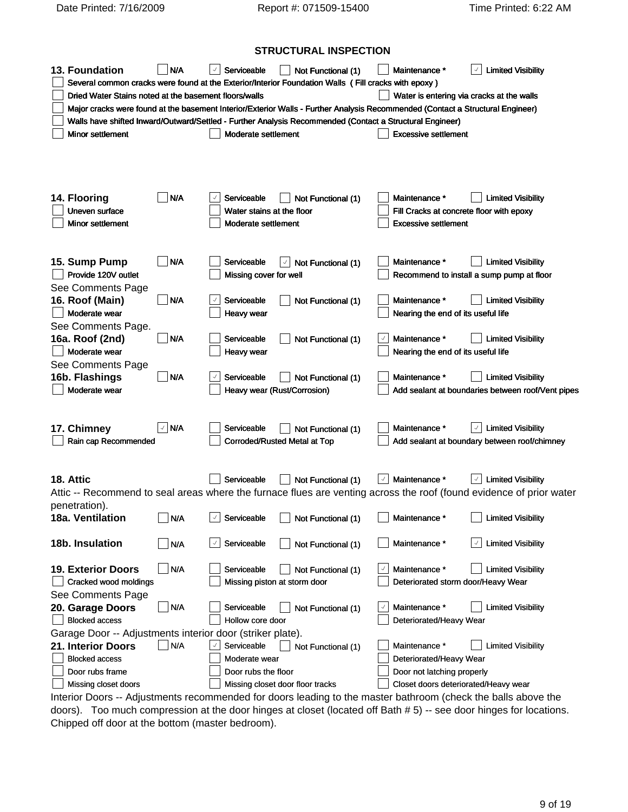Date Printed: 7/16/2009 Report #: 071509-15400 Time Printed: 6:22 AM

# **STRUCTURAL INSPECTION**

|                                                           |                         |                                                                                                                                                                                                                                                                                                                                    | <b>PRISONAL INDI LOTION</b>                                                                                                    |                                                     |                                           |                                                                                                                     |
|-----------------------------------------------------------|-------------------------|------------------------------------------------------------------------------------------------------------------------------------------------------------------------------------------------------------------------------------------------------------------------------------------------------------------------------------|--------------------------------------------------------------------------------------------------------------------------------|-----------------------------------------------------|-------------------------------------------|---------------------------------------------------------------------------------------------------------------------|
| 13. Foundation                                            | $\bigsqcup$ N/A         |                                                                                                                                                                                                                                                                                                                                    | Serviceable <b>Not Functional (1) Maintenance</b> *                                                                            |                                                     |                                           | $\boxed{\checkmark}$ Limited Visibility                                                                             |
|                                                           |                         |                                                                                                                                                                                                                                                                                                                                    | Several common cracks were found at the Exterior/Interior Foundation Walls (Fill cracks with epoxy)                            |                                                     |                                           |                                                                                                                     |
| Dried Water Stains noted at the basement floors/walls     |                         |                                                                                                                                                                                                                                                                                                                                    |                                                                                                                                |                                                     |                                           | Water is entering via cracks at the walls                                                                           |
|                                                           |                         |                                                                                                                                                                                                                                                                                                                                    | Major cracks were found at the basement Interior/Exterior Walls - Further Analysis Recommended (Contact a Structural Engineer) |                                                     |                                           |                                                                                                                     |
|                                                           |                         |                                                                                                                                                                                                                                                                                                                                    | Walls have shifted Inward/Outward/Settled - Further Analysis Recommended (Contact a Structural Engineer)                       |                                                     |                                           |                                                                                                                     |
| <b>Minor settlement</b>                                   |                         | Moderate settlement                                                                                                                                                                                                                                                                                                                |                                                                                                                                |                                                     | Excessive settlement                      |                                                                                                                     |
|                                                           |                         |                                                                                                                                                                                                                                                                                                                                    |                                                                                                                                |                                                     |                                           |                                                                                                                     |
|                                                           |                         |                                                                                                                                                                                                                                                                                                                                    |                                                                                                                                |                                                     |                                           |                                                                                                                     |
|                                                           |                         |                                                                                                                                                                                                                                                                                                                                    |                                                                                                                                |                                                     |                                           |                                                                                                                     |
|                                                           |                         |                                                                                                                                                                                                                                                                                                                                    |                                                                                                                                |                                                     |                                           |                                                                                                                     |
| 14. Flooring                                              | $\Box$ N/A              |                                                                                                                                                                                                                                                                                                                                    | $\boxed{\phantom{1}}$ Serviceable $\boxed{\phantom{1}}$ Not Functional (1)                                                     |                                                     | Maintenance *                             | <b>Limited Visibility</b>                                                                                           |
| Uneven surface                                            |                         | Water stains at the floor                                                                                                                                                                                                                                                                                                          |                                                                                                                                |                                                     |                                           | Fill Cracks at concrete floor with epoxy                                                                            |
| Minor settlement                                          |                         | Moderate settlement                                                                                                                                                                                                                                                                                                                |                                                                                                                                |                                                     | Excessive settlement                      |                                                                                                                     |
|                                                           |                         |                                                                                                                                                                                                                                                                                                                                    |                                                                                                                                |                                                     |                                           |                                                                                                                     |
|                                                           |                         |                                                                                                                                                                                                                                                                                                                                    |                                                                                                                                |                                                     |                                           |                                                                                                                     |
| 15. Sump Pump                                             | $\vert$ $\vert$ N/A     |                                                                                                                                                                                                                                                                                                                                    | $\Box$ Serviceable $\Box$ Not Functional (1)                                                                                   |                                                     | Maintenance *                             | Limited Visibility                                                                                                  |
| Provide 120V outlet                                       |                         | Missing cover for well                                                                                                                                                                                                                                                                                                             |                                                                                                                                |                                                     |                                           | $\Box$ Recommend to install a sump pump at floor                                                                    |
| See Comments Page                                         |                         |                                                                                                                                                                                                                                                                                                                                    |                                                                                                                                |                                                     |                                           |                                                                                                                     |
| 16. Roof (Main)                                           | $\neg$ N/A              |                                                                                                                                                                                                                                                                                                                                    | Serviceable $\Box$ Not Functional (1)                                                                                          |                                                     | Maintenance *                             | Limited Visibility                                                                                                  |
| Moderate wear                                             |                         | $\Box$ Heavy wear                                                                                                                                                                                                                                                                                                                  |                                                                                                                                |                                                     | $\Box$ Nearing the end of its useful life |                                                                                                                     |
| See Comments Page.                                        |                         |                                                                                                                                                                                                                                                                                                                                    |                                                                                                                                |                                                     |                                           |                                                                                                                     |
| 16a. Roof (2nd)                                           | $\Box$ N/A              |                                                                                                                                                                                                                                                                                                                                    | Serviceable Not Functional (1)                                                                                                 |                                                     | Maintenance *                             | Limited Visibility                                                                                                  |
| Moderate wear                                             |                         | Heavy wear                                                                                                                                                                                                                                                                                                                         |                                                                                                                                |                                                     | $\Box$ Nearing the end of its useful life |                                                                                                                     |
| See Comments Page                                         |                         |                                                                                                                                                                                                                                                                                                                                    |                                                                                                                                |                                                     |                                           |                                                                                                                     |
| 16b. Flashings                                            | $\neg$ N/A              |                                                                                                                                                                                                                                                                                                                                    | $\sqrt{ }$ Serviceable $\Box$ Not Functional (1)                                                                               |                                                     | Maintenance *                             | Limited Visibility                                                                                                  |
| Moderate wear                                             |                         |                                                                                                                                                                                                                                                                                                                                    | Heavy wear (Rust/Corrosion)                                                                                                    |                                                     |                                           | Add sealant at boundaries between roof/Vent pipes                                                                   |
|                                                           |                         |                                                                                                                                                                                                                                                                                                                                    |                                                                                                                                |                                                     |                                           |                                                                                                                     |
|                                                           |                         |                                                                                                                                                                                                                                                                                                                                    |                                                                                                                                |                                                     |                                           |                                                                                                                     |
| 17. Chimney                                               | $\sqrt{\mathsf{N}}$ N/A |                                                                                                                                                                                                                                                                                                                                    | $\Box$ Serviceable $\Box$ Not Functional (1)                                                                                   |                                                     | Maintenance *                             | $\lfloor \sqrt{\ } \rfloor$ Limited Visibility                                                                      |
| Rain cap Recommended                                      |                         |                                                                                                                                                                                                                                                                                                                                    | Corroded/Rusted Metal at Top                                                                                                   |                                                     |                                           | Add sealant at boundary between roof/chimney                                                                        |
|                                                           |                         |                                                                                                                                                                                                                                                                                                                                    |                                                                                                                                |                                                     |                                           |                                                                                                                     |
|                                                           |                         |                                                                                                                                                                                                                                                                                                                                    | Serviceable<br>Not Functional (1)<br>Maintenance *                                                                             |                                                     |                                           | $\boxed{\checkmark}$ Limited Visibility                                                                             |
| 18. Attic                                                 |                         |                                                                                                                                                                                                                                                                                                                                    |                                                                                                                                |                                                     |                                           |                                                                                                                     |
|                                                           |                         |                                                                                                                                                                                                                                                                                                                                    |                                                                                                                                |                                                     |                                           | Attic -- Recommend to seal areas where the furnace flues are venting across the roof (found evidence of prior water |
| penetration).<br>18a. Ventilation                         | N/A                     | $\overline{a}$ and $\overline{a}$ and $\overline{a}$ and $\overline{a}$ and $\overline{a}$ and $\overline{a}$ and $\overline{a}$ and $\overline{a}$ and $\overline{a}$ and $\overline{a}$ and $\overline{a}$ and $\overline{a}$ and $\overline{a}$ and $\overline{a}$ and $\overline{a}$ and $\overline{a}$ and $\overline{a}$ and |                                                                                                                                | <b>Contract Contract Contract Contract Contract</b> | Maintenance *                             | $\overline{a}$<br><b>Limited Visibility</b>                                                                         |
|                                                           |                         | $\lfloor \vee \rfloor$ Serviceable                                                                                                                                                                                                                                                                                                 | Not Functional (1)                                                                                                             |                                                     |                                           |                                                                                                                     |
| 18b. Insulation                                           | $\Box$ N/A              |                                                                                                                                                                                                                                                                                                                                    |                                                                                                                                |                                                     |                                           | $\sqrt{\phantom{a}}$ Limited Visibility                                                                             |
|                                                           |                         |                                                                                                                                                                                                                                                                                                                                    |                                                                                                                                |                                                     |                                           |                                                                                                                     |
| 19. Exterior Doors                                        | $\Box$ N/A              |                                                                                                                                                                                                                                                                                                                                    | Serviceable Not Functional (1)                                                                                                 |                                                     | $\sqrt{2}$ Maintenance *                  | Limited Visibility                                                                                                  |
| Cracked wood moldings                                     |                         | Missing piston at storm door                                                                                                                                                                                                                                                                                                       |                                                                                                                                |                                                     |                                           | Deteriorated storm door/Heavy Wear                                                                                  |
| See Comments Page                                         |                         |                                                                                                                                                                                                                                                                                                                                    |                                                                                                                                |                                                     |                                           |                                                                                                                     |
| 20. Garage Doors                                          | $\Box$ N/A              |                                                                                                                                                                                                                                                                                                                                    | $\Box$ Serviceable $\Box$ Not Functional (1)                                                                                   |                                                     | J Maintenance *                           | Limited Visibility                                                                                                  |
| Blocked access                                            |                         | Hollow core door                                                                                                                                                                                                                                                                                                                   |                                                                                                                                |                                                     | Deteriorated/Heavy Wear                   |                                                                                                                     |
| Garage Door -- Adjustments interior door (striker plate). |                         |                                                                                                                                                                                                                                                                                                                                    |                                                                                                                                |                                                     |                                           |                                                                                                                     |
| 21. Interior Doors                                        | N/A                     |                                                                                                                                                                                                                                                                                                                                    | $\le$ Serviceable $\qquad$ Not Functional (1)                                                                                  |                                                     | Maintenance *                             | Limited Visibility                                                                                                  |
| Blocked access                                            |                         | Moderate wear                                                                                                                                                                                                                                                                                                                      |                                                                                                                                |                                                     | Deteriorated/Heavy Wear                   |                                                                                                                     |
| Door rubs frame                                           |                         | Door rubs the floor                                                                                                                                                                                                                                                                                                                |                                                                                                                                |                                                     | Door not latching properly                |                                                                                                                     |
| Missing closet doors                                      |                         |                                                                                                                                                                                                                                                                                                                                    | Missing closet door floor tracks                                                                                               |                                                     |                                           | Closet doors deteriorated/Heavy wear                                                                                |
|                                                           |                         |                                                                                                                                                                                                                                                                                                                                    |                                                                                                                                |                                                     |                                           |                                                                                                                     |

Interior Doors -- Adjustments recommended for doors leading to the master bathroom (check the balls above the doors). Too much compression at the door hinges at closet (located off Bath # 5) -- see door hinges for locations. Chipped off door at the bottom (master bedroom).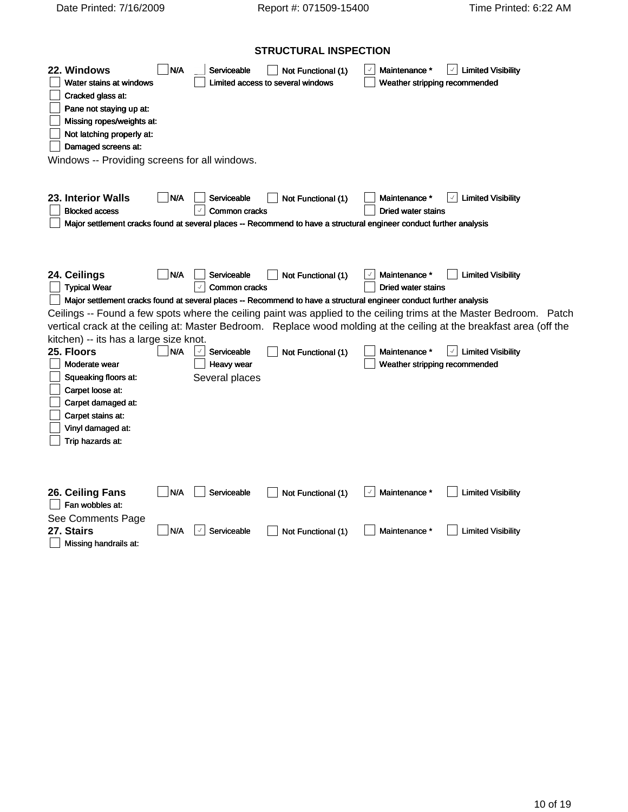# **STRUCTURAL INSPECTION**

| 22. Windows<br>Water stains at windows<br>$\Box$ Cracked glass at:<br>$\Box$ Pane not staying up at:<br>$\Box$ Missing ropes/weights at:<br>$\Box$ Not latching properly at:<br>Damaged screens at:<br>Windows -- Providing screens for all windows.                                                                                                                                                   | N/A               | Serviceable                                                                                                                         | $\Box$ Not Functional (1)<br>Limited access to several windows |                    | Maintenance $*$ $\boxed{\checkmark}$ Limited Visibility<br>Weather stripping recommended                                                                                                                                                                                                                                                                                    |  |
|--------------------------------------------------------------------------------------------------------------------------------------------------------------------------------------------------------------------------------------------------------------------------------------------------------------------------------------------------------------------------------------------------------|-------------------|-------------------------------------------------------------------------------------------------------------------------------------|----------------------------------------------------------------|--------------------|-----------------------------------------------------------------------------------------------------------------------------------------------------------------------------------------------------------------------------------------------------------------------------------------------------------------------------------------------------------------------------|--|
| 23. Interior Walls<br>Blocked access                                                                                                                                                                                                                                                                                                                                                                   |                   | N/A Serviceable<br>$\lfloor \sqrt{2} \rfloor$ Common cracks                                                                         | Not Functional (1)                                             | Dried water stains | Maintenance $*$ $\boxed{\checkmark}$ Limited Visibility                                                                                                                                                                                                                                                                                                                     |  |
| Major settlement cracks found at several places -- Recommend to have a structural engineer conduct further analysis                                                                                                                                                                                                                                                                                    |                   |                                                                                                                                     |                                                                |                    |                                                                                                                                                                                                                                                                                                                                                                             |  |
| 24. Ceilings<br>$\Box$ Typical Wear<br>Major settlement cracks found at several places -- Recommend to have a structural engineer conduct further analysis<br>kitchen) -- its has a large size knot.<br>25. Floors<br>Moderate wear<br>$\Box$ Squeaking floors at:<br>Carpet loose at:<br>$\Box$ Carpet damaged at:<br>$\Box$ Carpet stains at:<br>$\Box$ Vinyl damaged at:<br>$\Box$ Trip hazards at: | N/A<br>$\Box$ N/A | Serviceable<br>$\lfloor \sqrt{2} \rfloor$ Common cracks<br>$\boxed{\phantom{1}}$ Serviceable<br>$\Box$ Heavy wear<br>Several places | Not Functional (1)<br>$\Box$ Not Functional (1)                | Dried water stains | Maintenance *   Limited Visibility<br>Ceilings -- Found a few spots where the ceiling paint was applied to the ceiling trims at the Master Bedroom. Patch<br>vertical crack at the ceiling at: Master Bedroom. Replace wood molding at the ceiling at the breakfast area (off the<br>Maintenance * $\boxed{\checkmark}$ Limited Visibility<br>Weather stripping recommended |  |
| 26. Ceiling Fans<br>$\Box$ Fan wobbles at:<br>See Comments Page<br>27. Stairs<br>$\Box$ Missing handrails at:                                                                                                                                                                                                                                                                                          |                   | $\n  \blacksquare N/A \blacksquare ServiceableN/A 3 Serviceable$                                                                    |                                                                |                    | ■ Not Functional (1) V Maintenance * ■ Limited Visibility<br>■ Not Functional (1) ■ Maintenance * ■ Limited Visibility                                                                                                                                                                                                                                                      |  |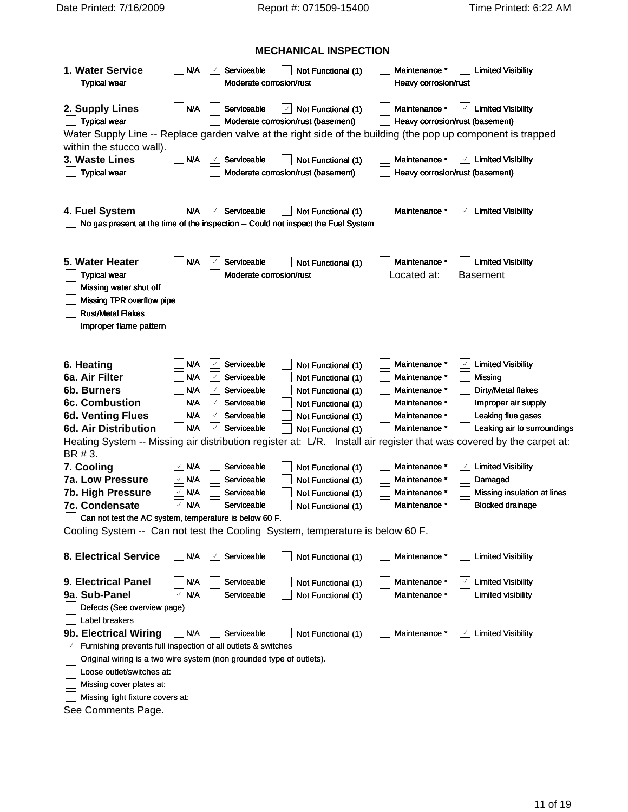# **MECHANICAL INSPECTION**

|                                                                                               |                            |                                                |                                                           |                                 | $\vert$ Maintenance * $\vert$ Limited Visibility                                                                     |
|-----------------------------------------------------------------------------------------------|----------------------------|------------------------------------------------|-----------------------------------------------------------|---------------------------------|----------------------------------------------------------------------------------------------------------------------|
| 1. Water Service                                                                              | $\bigsqcup$ N/A $\qquad$   | Serviceable                                    | Not Functional (1)                                        |                                 |                                                                                                                      |
| $\Box$ Typical wear                                                                           |                            | Moderate corrosion/rust                        |                                                           | Heavy corrosion/rust            |                                                                                                                      |
| 2. Supply Lines                                                                               | $\n  N$                    | Serviceable                                    | $\ \cdot\ $ Not Functional (1)                            |                                 | $\vert$ Maintenance * $\vert \sqrt{\vert}$ Limited Visibility                                                        |
| $\Box$ Typical wear                                                                           |                            |                                                | Moderate corrosion/rust (basement)                        | Heavy corrosion/rust (basement) |                                                                                                                      |
|                                                                                               |                            |                                                |                                                           |                                 | Water Supply Line -- Replace garden valve at the right side of the building (the pop up component is trapped         |
| within the stucco wall).                                                                      |                            |                                                |                                                           |                                 |                                                                                                                      |
| 3. Waste Lines                                                                                |                            | N/A J Serviceable                              | Not Functional (1)                                        | Maintenance *                   | $\boxed{\checkmark}$ Limited Visibility                                                                              |
| $\Box$ Typical wear                                                                           |                            |                                                | Moderate corrosion/rust (basement)                        | Heavy corrosion/rust (basement) |                                                                                                                      |
|                                                                                               |                            |                                                |                                                           |                                 |                                                                                                                      |
|                                                                                               |                            |                                                |                                                           |                                 |                                                                                                                      |
| 4. Fuel System                                                                                |                            | N/A √ Serviceable                              | ■ Not Functional (1) ■ Maintenance * 4 Limited Visibility |                                 |                                                                                                                      |
| $\Box$ No gas present at the time of the inspection -- Could not inspect the Fuel System      |                            |                                                |                                                           |                                 |                                                                                                                      |
|                                                                                               |                            |                                                |                                                           |                                 |                                                                                                                      |
|                                                                                               |                            |                                                |                                                           |                                 |                                                                                                                      |
| 5. Water Heater                                                                               |                            | $\n  \blacksquare N/A \n  \square Serviceable$ | Not Functional (1)                                        |                                 | $\Box$ Maintenance * $\Box$ Limited Visibility                                                                       |
| Typical wear                                                                                  |                            | Moderate corrosion/rust                        |                                                           | Located at: Basement            |                                                                                                                      |
| Missing water shut off<br>Missing TPR overflow pipe                                           |                            |                                                |                                                           |                                 |                                                                                                                      |
| Rust/Metal Flakes                                                                             |                            |                                                |                                                           |                                 |                                                                                                                      |
| Improper flame pattern                                                                        |                            |                                                |                                                           |                                 |                                                                                                                      |
|                                                                                               |                            |                                                |                                                           |                                 |                                                                                                                      |
|                                                                                               |                            |                                                |                                                           |                                 |                                                                                                                      |
| 6. Heating                                                                                    | $\Box$ N/A                 | Serviceable                                    | Not Functional (1)                                        | Maintenance *                   | Limited Visibility                                                                                                   |
| 6a. Air Filter                                                                                | $\Box$ N/A                 | Serviceable                                    | Not Functional (1)                                        | Maintenance *                   | Missing                                                                                                              |
| 6b. Burners                                                                                   | N/A                        | Serviceable                                    | Not Functional (1)                                        | Maintenance                     | Dirty/Metal flakes                                                                                                   |
| 6c. Combustion                                                                                | N/A                        | Serviceable                                    | Not Functional (1)                                        | Maintenance                     | Improper air supply                                                                                                  |
| <b>6d. Venting Flues</b>                                                                      | $\overline{\mathsf{N}}$ /A | Serviceable                                    | Not Functional (1)                                        | Maintenance                     | Leaking flue gases                                                                                                   |
| 6d. Air Distribution                                                                          | _  N/A                     | $\lfloor \vee \rfloor$ Serviceable             | Not Functional (1)                                        | Maintenance *                   | $\perp$ Leaking air to surroundings                                                                                  |
|                                                                                               |                            |                                                |                                                           |                                 | Heating System -- Missing air distribution register at: L/R. Install air register that was covered by the carpet at: |
| BR # 3.                                                                                       |                            |                                                |                                                           |                                 |                                                                                                                      |
| 7. Cooling                                                                                    | $\cup$ N/A $\sim$          | Serviceable                                    | Not Functional (1)                                        | Maintenance *                   | Limited Visibility                                                                                                   |
| 7a. Low Pressure                                                                              | √ N/A                      | Serviceable                                    | Not Functional (1)                                        | Maintenance *                   | Damaged                                                                                                              |
| 7b. High Pressure                                                                             | ∕ N/A                      | Serviceable                                    | Not Functional (1)                                        | Maintenance                     | Missing insulation at lines                                                                                          |
| 7c. Condensate                                                                                | $\cup$ N/A                 | Serviceable                                    | Not Functional (1)                                        | Maintenance *                   | Blocked drainage                                                                                                     |
| Can not test the AC system, temperature is below 60 F.                                        |                            |                                                |                                                           |                                 |                                                                                                                      |
| Cooling System -- Can not test the Cooling System, temperature is below 60 F.                 |                            |                                                |                                                           |                                 |                                                                                                                      |
|                                                                                               |                            |                                                |                                                           |                                 |                                                                                                                      |
| 8. Electrical Service N/A   Serviceable Not Functional (1) Maintenance * I Limited Visibility |                            |                                                |                                                           |                                 |                                                                                                                      |
|                                                                                               |                            |                                                |                                                           |                                 |                                                                                                                      |
| 9. Electrical Panel                                                                           |                            | N/A Serviceable                                | Not Functional (1)                                        | Maintenance *                   | Limited Visibility                                                                                                   |
| 9a. Sub-Panel                                                                                 |                            | V N/A Serviceable                              | Not Functional (1)                                        | Maintenance *                   | $\Box$ Limited visibility                                                                                            |
| Defects (See overview page)                                                                   |                            |                                                |                                                           |                                 |                                                                                                                      |
| J Label breakers                                                                              |                            |                                                |                                                           |                                 |                                                                                                                      |
| 9b. Electrical Wiring N/A Serviceable Not Functional (1) Maintenance * 1 Limited Visibility   |                            |                                                |                                                           |                                 |                                                                                                                      |
| Furnishing prevents full inspection of all outlets & switches                                 |                            |                                                |                                                           |                                 |                                                                                                                      |
| Original wiring is a two wire system (non grounded type of outlets).                          |                            |                                                |                                                           |                                 |                                                                                                                      |
| Loose outlet/switches at:                                                                     |                            |                                                |                                                           |                                 |                                                                                                                      |
| Missing cover plates at:                                                                      |                            |                                                |                                                           |                                 |                                                                                                                      |
| Missing light fixture covers at:                                                              |                            |                                                |                                                           |                                 |                                                                                                                      |
| See Comments Page.                                                                            |                            |                                                |                                                           |                                 |                                                                                                                      |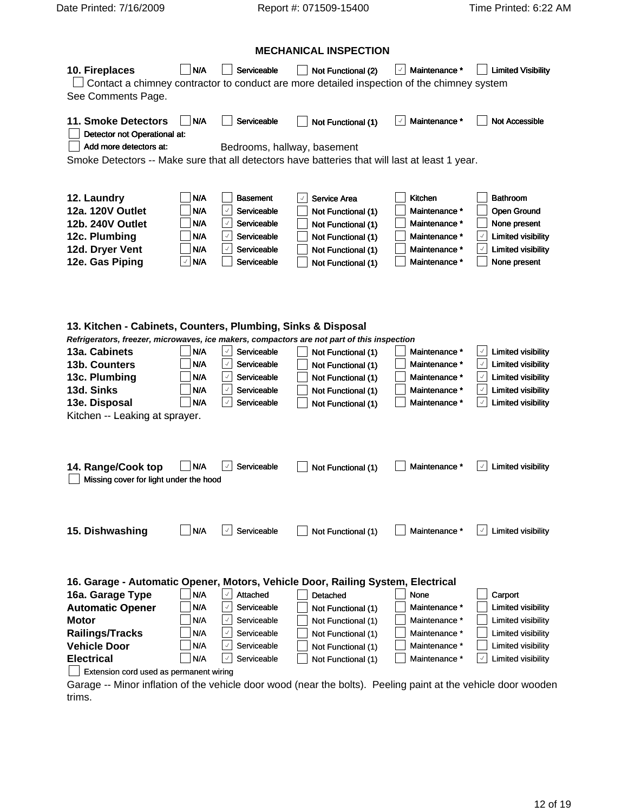|                                                                                                |                    |             | <b>MECHANICAL INSPECTION</b>                                                                      |                          |                                                                                                               |
|------------------------------------------------------------------------------------------------|--------------------|-------------|---------------------------------------------------------------------------------------------------|--------------------------|---------------------------------------------------------------------------------------------------------------|
| 10. Fireplaces                                                                                 |                    |             |                                                                                                   |                          | ■ N/A Serviceable ■ Not Functional (2) Maintenance * ■ Limited Visibility                                     |
|                                                                                                |                    |             | $\Box$ Contact a chimney contractor to conduct are more detailed inspection of the chimney system |                          |                                                                                                               |
| See Comments Page.                                                                             |                    |             |                                                                                                   |                          |                                                                                                               |
| 11. Smoke Detectors N/A                                                                        |                    |             |                                                                                                   |                          | Serviceable <b>Not Functional (1) Maintenance C</b> Not Accessible                                            |
| Detector not Operational at:                                                                   |                    |             |                                                                                                   |                          |                                                                                                               |
| $\Box$ Add more detectors at:                                                                  |                    |             | Bedrooms, hallway, basement                                                                       |                          |                                                                                                               |
| Smoke Detectors -- Make sure that all detectors have batteries that will last at least 1 year. |                    |             |                                                                                                   |                          |                                                                                                               |
|                                                                                                |                    |             |                                                                                                   |                          |                                                                                                               |
| 12. Laundry                                                                                    | $\Box$ N/A         | Basement    | ∆ Service Area                                                                                    | $\rfloor$ Kitchen        | Bathroom                                                                                                      |
| 12a. 120V Outlet                                                                               | $\bigcup$ N/A      | Serviceable | Not Functional (1)                                                                                | Maintenance              | Open Ground                                                                                                   |
| 12b. 240V Outlet                                                                               | _  N/A             | Serviceable | Not Functional (                                                                                  | Maintenance              | None present                                                                                                  |
| 12c. Plumbing                                                                                  | _  N/A             | Serviceable | Not Functional (                                                                                  | Maintenance              | <b>Limited visibility</b>                                                                                     |
| 12d. Dryer Vent                                                                                | _  N/A             | Serviceable | Not Functional (                                                                                  | Maintenance <sup>*</sup> | Limited visibility                                                                                            |
| 12e. Gas Piping                                                                                | ⊻∣N/A              | Serviceable | Not Functional                                                                                    | Maintenance <sup>*</sup> | None present                                                                                                  |
|                                                                                                |                    |             |                                                                                                   |                          |                                                                                                               |
|                                                                                                |                    |             |                                                                                                   |                          |                                                                                                               |
|                                                                                                |                    |             |                                                                                                   |                          |                                                                                                               |
| 13. Kitchen - Cabinets, Counters, Plumbing, Sinks & Disposal                                   |                    |             |                                                                                                   |                          |                                                                                                               |
| Refrigerators, freezer, microwaves, ice makers, compactors are not part of this inspection     |                    |             |                                                                                                   |                          |                                                                                                               |
| 13a. Cabinets                                                                                  | $\Box$ N/A         | Serviceable | Not Functional (1)                                                                                | Maintenance *            | Limited visibility                                                                                            |
| 13b. Counters                                                                                  | _  N/A             | Serviceable | Not Functional (1                                                                                 | Maintenance              | <b>Limited visibility</b>                                                                                     |
| 13c. Plumbing                                                                                  | _  N/A             | Serviceable | Not Functional (1                                                                                 | Maintenance              | Limited visibility                                                                                            |
| 13d. Sinks                                                                                     | $\bigcup$ N/A      | Serviceable | Not Functional (                                                                                  | Maintenance              | Limited visibility                                                                                            |
| 13e. Disposal                                                                                  | $\Box$ N/A         | Serviceable | Not Functional (1)                                                                                | Maintenance *            | Limited visibility                                                                                            |
| Kitchen -- Leaking at sprayer.                                                                 |                    |             |                                                                                                   |                          |                                                                                                               |
|                                                                                                |                    |             |                                                                                                   |                          |                                                                                                               |
|                                                                                                |                    |             |                                                                                                   |                          |                                                                                                               |
|                                                                                                |                    |             |                                                                                                   |                          | 14. Range/Cook top N/A 3 Serviceable Not Functional (1) Maintenance * 1 Limited visibility                    |
| Missing cover for light under the hood                                                         |                    |             |                                                                                                   |                          |                                                                                                               |
|                                                                                                |                    |             |                                                                                                   |                          |                                                                                                               |
|                                                                                                |                    |             |                                                                                                   |                          |                                                                                                               |
|                                                                                                |                    |             |                                                                                                   |                          |                                                                                                               |
| 15. Dishwashing                                                                                |                    |             |                                                                                                   |                          | N/A √ Serviceable not Functional (1) Maintenance * √ Limited visibility                                       |
|                                                                                                |                    |             |                                                                                                   |                          |                                                                                                               |
|                                                                                                |                    |             |                                                                                                   |                          |                                                                                                               |
| 16. Garage - Automatic Opener, Motors, Vehicle Door, Railing System, Electrical                |                    |             |                                                                                                   |                          |                                                                                                               |
| 16a. Garage Type                                                                               | _  N/A             | Attached    | Detached                                                                                          | None                     | Carport                                                                                                       |
| <b>Automatic Opener</b>                                                                        | $\Box$ N/A         | Serviceable | $\Box$ Not Functional (1)                                                                         | Maintenance *            | Limited visibility                                                                                            |
| Motor                                                                                          | $\Box$ N/A         | Serviceable | Not Functional (1)                                                                                | Maintenance *            | Limited visibility                                                                                            |
| <b>Railings/Tracks</b>                                                                         | N/A                | Serviceable | Not Functional (1)                                                                                | Maintenance *            | Limited visibility                                                                                            |
| <b>Vehicle Door</b>                                                                            | $\blacksquare$ N/A | Serviceable | Not Functional (1                                                                                 | Maintenance *            | Limited visibility                                                                                            |
| <b>Electrical</b>                                                                              | $\Box$ N/A         | Serviceable | $\Box$ Not Functional (1)                                                                         | Maintenance *            | Limited visibility                                                                                            |
| Extension cord used as permanent wiring                                                        |                    |             |                                                                                                   |                          |                                                                                                               |
|                                                                                                |                    |             |                                                                                                   |                          | Garage -- Minor inflation of the vehicle door wood (near the bolts). Peeling paint at the vehicle door wooden |
| trims.                                                                                         |                    |             |                                                                                                   |                          |                                                                                                               |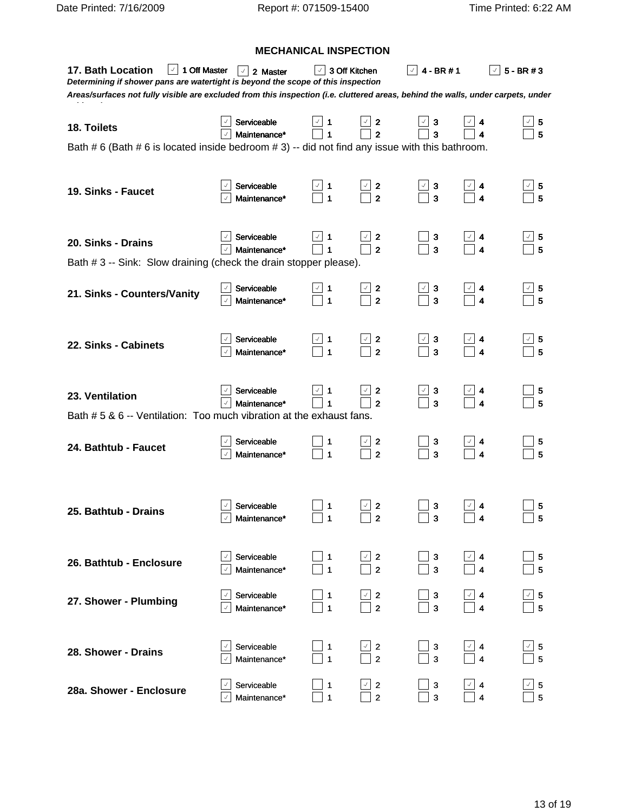|                                                                                                                                                                                                                                                                                                             |                                                                    |                                                            | <b>MECHANICAL INSPECTION</b>                                                                                  |                                                                            |                                                                                       |                                                                                       |
|-------------------------------------------------------------------------------------------------------------------------------------------------------------------------------------------------------------------------------------------------------------------------------------------------------------|--------------------------------------------------------------------|------------------------------------------------------------|---------------------------------------------------------------------------------------------------------------|----------------------------------------------------------------------------|---------------------------------------------------------------------------------------|---------------------------------------------------------------------------------------|
| 17. Bath Location $\boxed{\phantom{1}}$ 1 Off Master $\boxed{\phantom{1}}$ 2 Master<br>Determining if shower pans are watertight is beyond the scope of this inspection<br>Areas/surfaces not fully visible are excluded from this inspection (i.e. cluttered areas, behind the walls, under carpets, under |                                                                    |                                                            | $\sqrt{3}$ 3 Off Kitchen                                                                                      | $\boxed{\phantom{1}}$ 4 - BR # 1                                           |                                                                                       | $\boxed{\phantom{1}}$ 5 - BR # 3                                                      |
| 18. Toilets<br>Bath # 6 (Bath # 6 is located inside bedroom # 3) -- did not find any issue with this bathroom.                                                                                                                                                                                              | √ Serviceable<br>√ Maintenance*                                    | $\Box$ 1                                                   | $\frac{1}{2}$<br>2                                                                                            | $\begin{array}{ c } \hline \downarrow & 3 \\ \hline \hline \end{array}$    | $\begin{array}{ c c }\n\hline\n\hline\n\end{array}$ 4                                 | $\begin{array}{ c } \hline \hline 5 \\ \hline \end{array}$                            |
| 19. Sinks - Faucet                                                                                                                                                                                                                                                                                          | $\lfloor \sqrt{\ } \rfloor$ Serviceable<br>$\sqrt{ }$ Maintenance* | <b>□</b> 1<br>□ 1                                          | $\begin{array}{ c } \hline \hline \hline \hline \hline \hline \hline \hline \hline \end{array}$               | $\begin{array}{c} \boxed{\triangle} \\ \boxed{3} \\ \end{array}$           | $\begin{array}{ c c }\n\hline\n\end{array}$ 4                                         | $\begin{array}{c} \boxed{\triangle} \\ \boxed{5} \end{array}$                         |
| 20. Sinks - Drains<br>Bath # 3 -- Sink: Slow draining (check the drain stopper please).                                                                                                                                                                                                                     | $\vee$ Serviceable<br>$\boxed{\phantom{1}}$ Maintenance*           | $\vee$ 1<br>$\overline{\Box}$ 1                            | $\frac{1}{2}$ 2                                                                                               | $\begin{array}{c} \square 3 \\ \square 3 \end{array}$                      | $\begin{array}{ c c }\n\hline\n\end{array}$ 4                                         | $\begin{array}{c} \boxed{\vee}$ 5<br>$\boxed{\phantom{0}}$ 5                          |
| 21. Sinks - Counters/Vanity                                                                                                                                                                                                                                                                                 | Serviceable<br>Maintenance*                                        | $\begin{array}{ c c }\n\hline\n\hline\n\end{array}$ 1<br>1 | $\begin{array}{ c c }\n\hline\n\hline\n\end{array}$ 2                                                         | $\begin{array}{ c } \hline \downarrow & 3 \\ \hline \hline \end{array}$    | $\begin{array}{ c c }\n\hline\n\downarrow & 4 \\ \hline\n\downarrow & 4\n\end{array}$ | $\begin{array}{c} \boxed{\vee}$ 5<br>5                                                |
| 22. Sinks - Cabinets                                                                                                                                                                                                                                                                                        | $\sqrt{ }$ Serviceable<br>A Maintenance*                           | $\begin{array}{c} \boxed{4} \\ \boxed{1} \\ \end{array}$   | $\begin{array}{c} \boxed{\vee}$ 2<br>$\boxed{\phantom{0}}$ 2                                                  | $\begin{array}{ c } \hline \hline 3 \\ \hline \end{array}$                 | $\begin{array}{ c c }\n\hline\n\downarrow & 4 \\ \hline\n\downarrow & 4\n\end{array}$ | $\begin{array}{c} \boxed{\triangle} & 5 \\ \boxed{5} & \end{array}$                   |
| 23. Ventilation<br>Bath # 5 & 6 -- Ventilation: Too much vibration at the exhaust fans.                                                                                                                                                                                                                     | Serviceable<br>$ \cdot $ Maintenance*                              | $\begin{bmatrix} 1 \\ 2 \\ 1 \end{bmatrix}$ 1              | $\begin{array}{ c } \hline \hline \hline \hline \hline \hline \hline \hline \hline \hline \hline \end{array}$ | $\begin{array}{ c } \hline \downarrow 3 \\ \hline 3 \\ \hline \end{array}$ | $\begin{array}{ c c }\n\hline\n\downarrow & 4 \\ \hline\n\downarrow & 4\n\end{array}$ | $\begin{array}{c} \begin{array}{c} \end{array}$ 5                                     |
| 24. Bathtub - Faucet                                                                                                                                                                                                                                                                                        | ⁄ Serviceable<br>Maintenance*                                      | $\prod_{1}^{1}$                                            | $\frac{1}{2}$ 2                                                                                               | $\begin{array}{c} \boxed{3} \\ \boxed{3} \end{array}$                      | $\frac{1}{\sqrt{2}}$ 4<br>$\overline{\phantom{0}}$ 4                                  | $\begin{array}{c} \boxed{)}\,5 \ \boxed{5}\, \end{array}$                             |
| 25. Bathtub - Drains                                                                                                                                                                                                                                                                                        | √ Serviceable<br>$\sqrt{ }$ Maintenance*                           | $\begin{bmatrix} 1 \\ 1 \end{bmatrix}$                     | $\begin{array}{ c } \hline \hline \hline \hline \hline \hline \hline \hline \hline \hline \end{array}$        | $\begin{array}{ c } \hline 3 \\ \hline 3 \\ \hline \end{array}$            | $\begin{array}{ c c }\n\hline\n\hline\n\end{array}$ 4                                 | $\begin{array}{ c } \hline 5 \\ \hline 5 \\ \hline \end{array}$                       |
| 26. Bathtub - Enclosure                                                                                                                                                                                                                                                                                     | $\sqrt{ }$ Serviceable<br>$\sqrt{ }$ Maintenance*                  | $\begin{bmatrix} 1 \\ 1 \end{bmatrix}$                     | $\begin{array}{ c c }\n\hline\n0 & 2 \\ \hline\n0 & 2\n\end{array}$                                           | $\begin{array}{c} \square$ 3                                               | $\begin{array}{ c c }\n\hline\n\downarrow & 4 \\ \hline\n\downarrow & 4\n\end{array}$ | $\begin{array}{ c } \hline 5 \\ \hline 5 \\ \hline \end{array}$                       |
| 27. Shower - Plumbing                                                                                                                                                                                                                                                                                       | √ Serviceable<br>$\sqrt{ }$ Maintenance*                           | $\begin{bmatrix} 1 \\ 1 \end{bmatrix}$                     | $\begin{array}{ c } \hline \downarrow & 2 \\ \hline \rule{0.2cm}{.01cm} & 2 \end{array}$                      |                                                                            |                                                                                       | $\begin{array}{ c c c c c }\n\hline\n3 & 3 & 4 & 5 \\ \hline\n3 & 4 & 5\n\end{array}$ |
| 28. Shower - Drains                                                                                                                                                                                                                                                                                         | $\cup$ Serviceable                                                 | <b>□</b> 1                                                 | $\vert \cdot \vert$ 2                                                                                         | $\Box$ 3                                                                   | $\boxed{\sqrt{4}}$                                                                    | $\cup$ 5                                                                              |

**28a. Shower - Enclosure**

Maintenance\*  $\begin{array}{|c|c|c|c|c|c|}\n\hline\n1 & 2 & 3 & 4 & 5\n\end{array}$ 

Serviceable  $\begin{array}{|c|c|c|c|c|c|c|c|c|}\n\hline\n3 & 3 & 4 & 5\n\end{array}$ Maintenance\*  $\begin{array}{|c|c|c|c|c|c|}\n\hline\n1 & 2 & 3 & 4 & 5\n\end{array}$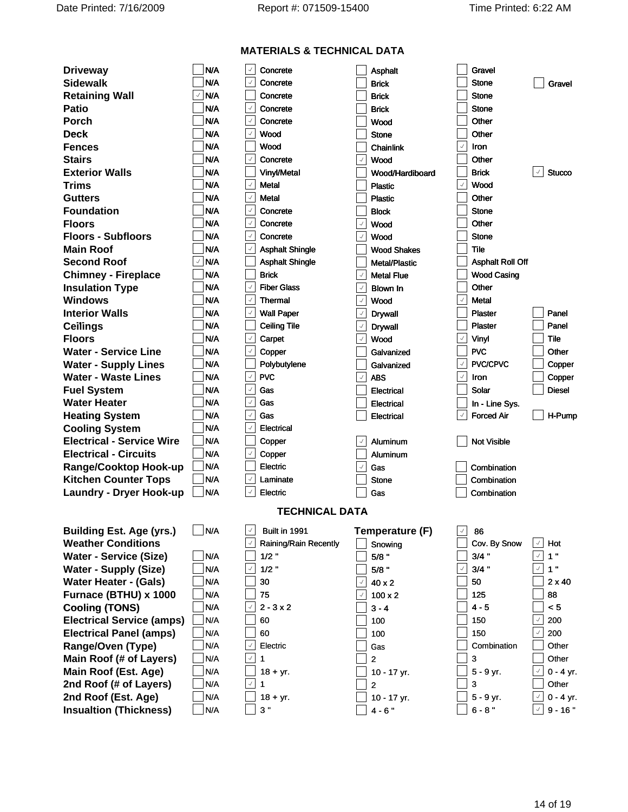|                                     |                              | <b>MATERIALS &amp; TECHNICAL DATA</b> |                                      |                                |                                |
|-------------------------------------|------------------------------|---------------------------------------|--------------------------------------|--------------------------------|--------------------------------|
| <b>Driveway</b>                     | $\Box$ N/A                   | $\boxed{\phantom{1}}$ Concrete        | $\Box$ Asphalt                       | $\Box$ Gravel                  |                                |
| <b>Sidewalk</b>                     | $\exists$ N/A                | Concrete                              | Brick                                | Stone                          | $\Box$ Gravel                  |
| <b>Retaining Wall</b>               | $\sqrt{ }$ N/A               | Concrete                              | Brick                                | Stone                          |                                |
| Patio                               | $\n  WA$                     | Concrete                              | Brick                                | Stone                          |                                |
| Porch                               | $\n  1N/A$                   | Concrete                              | Wood                                 | Other                          |                                |
| Deck                                | $\Box$ n/a                   | Wood                                  | Stone                                | Other                          |                                |
| <b>Fences</b>                       | $\Box$ N/A                   | Wood                                  | $]$ Chainlink                        | Iron                           |                                |
| <b>Stairs</b>                       | $\n  1N/A$                   | Concrete                              | Wood                                 | Other                          |                                |
| <b>Exterior Walls</b>               | $\exists$ n/a                | Vinyl/Metal                           | Wood/Hardiboard                      | <b>Brick</b>                   | $\boxed{\phantom{1}}$ Stucco   |
| Trims                               | $\exists$ N/A                | Metal                                 | Plastic                              | Wood                           |                                |
| <b>Gutters</b>                      | $\exists$ N/A                | Metal                                 | Plastic                              | Other                          |                                |
| <b>Foundation</b>                   | $\n  N/A$                    | Concrete                              | Block                                | Stone                          |                                |
| <b>Floors</b>                       | $\n  1N/A$                   | Concrete                              | Wood                                 | Other                          |                                |
| <b>Floors - Subfloors</b>           | $\Box$ N/A                   | Concrete                              | Wood                                 | Stone                          |                                |
| <b>Main Roof</b>                    | $\neg$ N/A                   | Asphalt Shingle                       | <b>Wood Shakes</b>                   | $\overline{\phantom{a}}$ Tile  |                                |
| <b>Second Roof</b>                  | ⊡ N/A ⊟                      | <b>Asphalt Shingle</b>                | Metal/Plastic                        | <b>Asphalt Roll Off</b>        |                                |
| <b>Chimney - Fireplace</b>          | $\n  N/A\n$                  | <b>Brick</b>                          | Metal Flue                           | <b>Wood Casing</b>             |                                |
| <b>Insulation Type</b>              | $\n  WA$                     | Fiber Glass                           | Blown In                             | Other                          |                                |
| Windows                             | $\exists$ N/A                | Thermal                               | Wood                                 | Metal                          |                                |
| <b>Interior Walls</b>               | $\Box$ N/A                   | Wall Paper                            | Drywall                              | Plaster                        | $\Box$ Panel                   |
| Ceilings                            | $\Box$ n/a                   | Ceiling Tile                          | Drywall                              | Plaster                        | $\Box$ Panel                   |
| Floors                              | $\n  1N/A$                   | Carpet                                | Wood                                 | Vinyl                          | $\overline{\phantom{a}}$ Tile  |
| Water - Service Line                | $\n  N/A\n$                  | $\rfloor$ Copper                      | Galvanized                           | <b>PVC</b>                     | $\Box$ Other                   |
| <b>Water - Supply Lines</b>         | $\exists$ N/A                | Polybutylene                          | Galvanized                           | PVC/CPVC                       | $\Box$ Copper                  |
| Water - Waste Lines                 | $\exists$ N/A                | $ $ PVC $ $                           | ABS                                  | Iron                           | $\Box$ Copper                  |
| <b>Fuel System</b>                  | $\Box$ N/A                   | Gas                                   | Electrical                           | Solar                          | $\Box$ Diesel                  |
| Water Heater                        | $\exists$ N/A                | Gas                                   | Electrical                           | $\Box$ In - Line Sys.          |                                |
| <b>Heating System</b>               | $\overline{\phantom{a}}$ N/A | Gas                                   | Electrical                           | Forced Air                     | $\Box$ H-Pump                  |
| <b>Cooling System</b>               | $\Box$ N/A                   | Electrical                            |                                      |                                |                                |
| <b>Electrical - Service Wire</b>    | $\n  N/A\n$                  | $\rfloor$ Copper                      | $\boxed{\phantom{1}}$ Aluminum       | $\Box$ Not Visible             |                                |
| <b>Electrical - Circuits</b>        | $\Box$ N/A                   | $\rfloor$ Copper                      | Aluminum                             |                                |                                |
| Range/Cooktop Hook-up               | $\Box$ N/A                   | $\rfloor$ Electric                    | Gas                                  | Combination                    |                                |
| <b>Kitchen Counter Tops</b>         | $\exists$ N/A                | Laminate                              | Stone                                | Combination                    |                                |
| Laundry - Dryer Hook-up □ N/A       |                              | $\rfloor$ Electric                    | $\bigsqcup$ Gas                      | Combination                    |                                |
|                                     |                              |                                       |                                      |                                |                                |
|                                     |                              | <b>TECHNICAL DATA</b>                 |                                      |                                |                                |
| Building Est. Age (yrs.) $\Box$ N/A |                              | $\mathbf{B}$ Built in 1991            | Temperature (F)                      | $\boxed{\phantom{1}}$ 86       |                                |
| <b>Weather Conditions</b>           |                              | Raining/Rain Recently                 | $\rfloor$ Snowing                    | $\int$ Cov. By Snow $\int$ Hot |                                |
| Water - Service (Size)              | $\Box$ N/A                   | $1/2$ "                               | 5/8 "                                | $3/4$ "                        | ☑ 1 "                          |
| Water - Supply (Size)               | $\Box$ N/A                   | $1/2$ "                               | 5/8 "                                | $3/4$ "                        | $\boxed{\vee}$ 1 "             |
| Water Heater - (Gals)               | $\exists$ N/A                | 30                                    | $\frac{1}{2}$ 40 x 2                 | $\overline{\phantom{a}}$ 50    | $\Box$ 2 x 40                  |
| Furnace (BTHU) x 1000               | $\exists$ N/A                | 75                                    | $\sqrt{ }$ 100 x 2                   | $\overline{\phantom{a}}$ 125   | $\Box$ 88                      |
| <b>Cooling (TONS)</b>               | $\n  N/A\n$                  | $\sqrt{2}$ 2 - 3 x 2                  | $\Box$ 3 - 4                         | $\overline{\phantom{0}}$ 4 - 5 | $\Box$ < 5                     |
| <b>Electrical Service (amps)</b>    | N/A                          | 60                                    | 100                                  | 150                            | $\sqrt{ }$ 200                 |
| <b>Electrical Panel (amps)</b>      | $\Box$ N/A                   | 60                                    | $\vert$ 100                          | 150                            | $\sqrt{ }$ 200                 |
| Range/Oven (Type)                   | $\Box$ N/A                   | Electric                              | $\vert$ Gas                          | Combination                    | Dther                          |
| Main Roof (# of Layers)             | $\exists$ N/A                |                                       |                                      |                                | Dther                          |
| Main Roof (Est. Age)                | $\Box$ N/A                   | $\rfloor$ 18 + yr.                    | ]10 - 17 yr.                         | $\Box$ 5 - 9 yr.               | $\cup$ 0 - 4 yr.               |
| 2nd Roof (# of Layers)              | $\Box$ N/A                   | ′ 1                                   | $\perp$ 2                            | $\vert 3 \vert$                | $\Box$ Other                   |
| 2nd Roof (Est. Age)                 | $\exists$ N/A                | $\frac{1}{2}$ 18 + yr.                | $\overline{\phantom{x}}$ 10 - 17 yr. | _ 5 - 9 yr.                    | $\boxed{\checkmark}$ 0 - 4 yr. |
| <b>Insualtion (Thickness)</b>       | $\Box$ N/A                   | $\Box$ 3 "                            | $\Box$ 4 - 6"                        | $\Box$ 6 - 8 "                 | $\boxed{\vee}$ 9 - 16 "        |
|                                     |                              |                                       |                                      |                                |                                |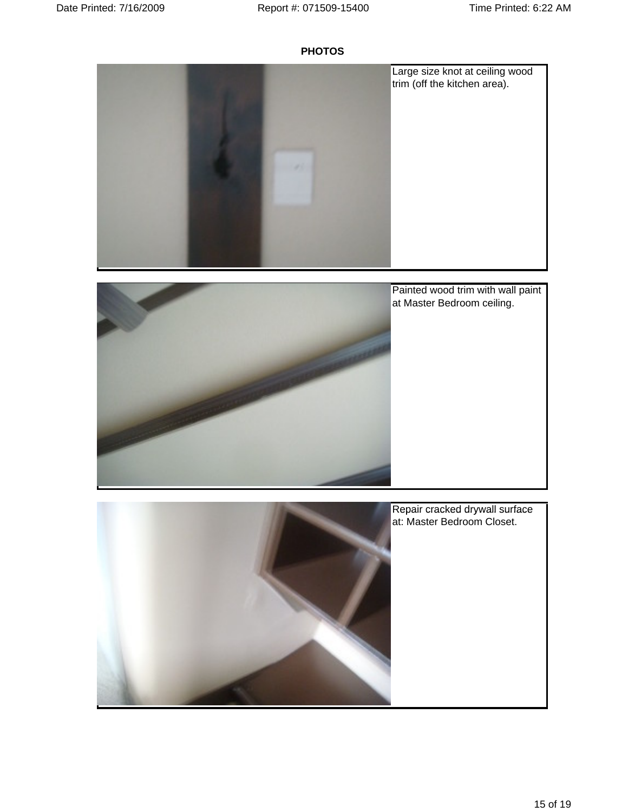



Painted wood trim with wall paint at Master Bedroom ceiling.

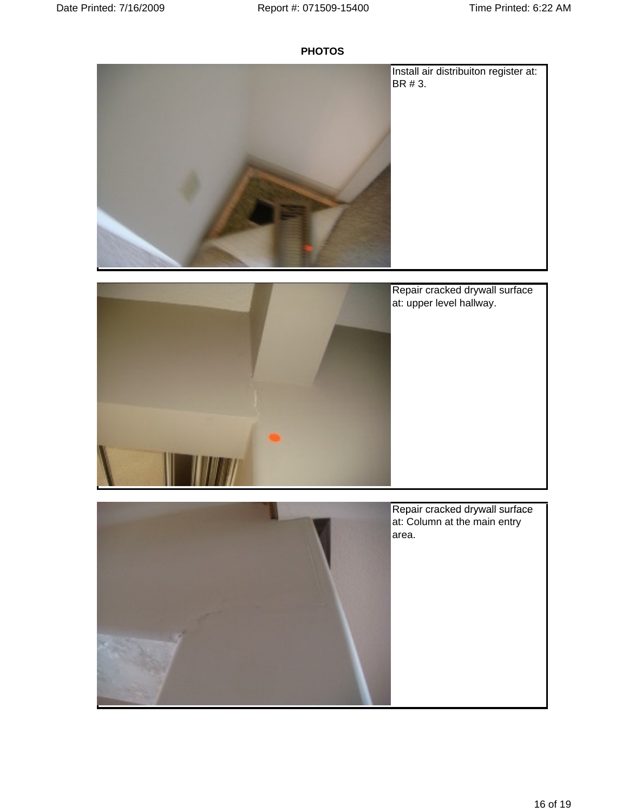



Repair cracked drywall surface at: upper level hallway.

| Repair cracked drywall surface<br>at: Column at the main entry |  |  |  |
|----------------------------------------------------------------|--|--|--|
| area.                                                          |  |  |  |
|                                                                |  |  |  |
|                                                                |  |  |  |
|                                                                |  |  |  |
|                                                                |  |  |  |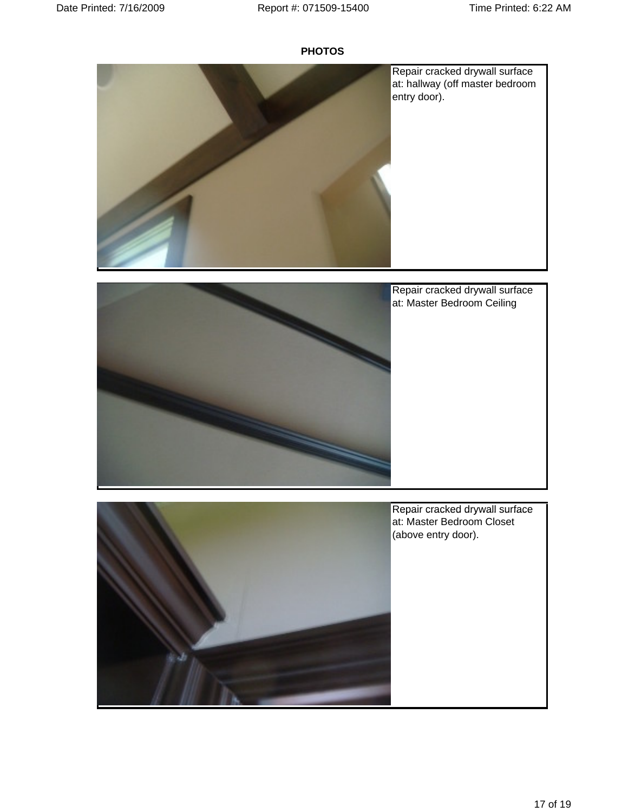



Repair cracked drywall surface<br>at: Master Bedroom Ceiling at: Master Bedroom Ceiling

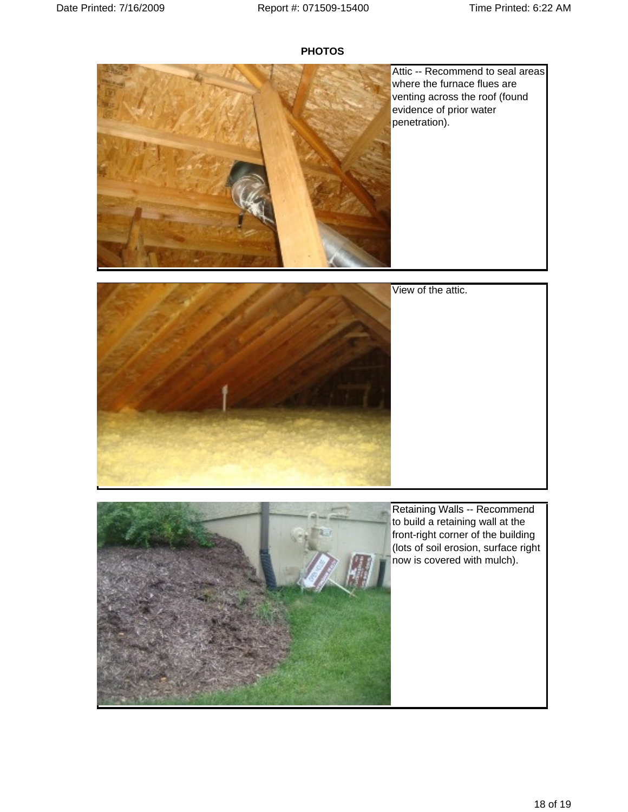

Attic -- Recommend to seal areas where the furnace flues are venting across the roof (found evidence of prior water penetration).





Retaining Walls -- Recommend to build a retaining wall at the front-right corner of the building (lots of soil erosion, surface right now is covered with mulch).